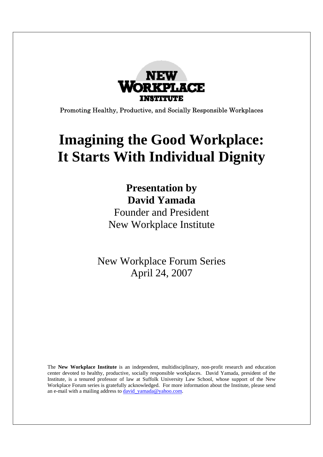

Promoting Healthy, Productive, and Socially Responsible Workplaces

# **Imagining the Good Workplace: It Starts With Individual Dignity**

### **Presentation by David Yamada**

Founder and President New Workplace Institute

New Workplace Forum Series April 24, 2007

The **New Workplace Institute** is an independent, multidisciplinary, non-profit research and education center devoted to healthy, productive, socially responsible workplaces. David Yamada, president of the Institute, is a tenured professor of law at Suffolk University Law School, whose support of the New Workplace Forum series is gratefully acknowledged. For more information about the Institute, please send an e-mail with a mailing address to  $david$  yamada@yahoo.com.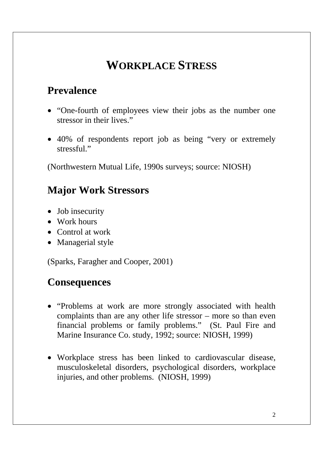### **WORKPLACE STRESS**

#### **Prevalence**

- "One-fourth of employees view their jobs as the number one stressor in their lives."
- 40% of respondents report job as being "very or extremely stressful."

(Northwestern Mutual Life, 1990s surveys; source: NIOSH)

#### **Major Work Stressors**

- Job insecurity
- Work hours
- Control at work
- Managerial style

(Sparks, Faragher and Cooper, 2001)

#### **Consequences**

- "Problems at work are more strongly associated with health complaints than are any other life stressor – more so than even financial problems or family problems." (St. Paul Fire and Marine Insurance Co. study, 1992; source: NIOSH, 1999)
- Workplace stress has been linked to cardiovascular disease, musculoskeletal disorders, psychological disorders, workplace injuries, and other problems. (NIOSH, 1999)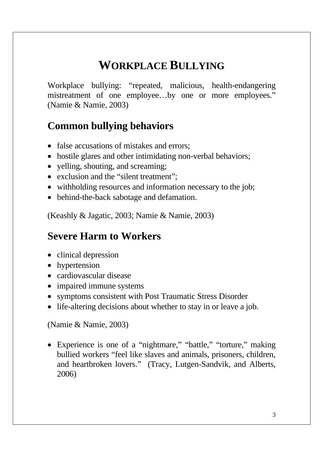### **WORKPLACE BULLYING**

Workplace bullying: "repeated, malicious, health-endangering mistreatment of one employee…by one or more employees." (Namie & Namie, 2003)

#### **Common bullying behaviors**

- false accusations of mistakes and errors;
- hostile glares and other intimidating non-verbal behaviors;
- yelling, shouting, and screaming;
- exclusion and the "silent treatment";
- withholding resources and information necessary to the job;
- behind-the-back sabotage and defamation.

(Keashly & Jagatic, 2003; Namie & Namie, 2003)

#### **Severe Harm to Workers**

- clinical depression
- hypertension
- cardiovascular disease
- impaired immune systems
- symptoms consistent with Post Traumatic Stress Disorder
- life-altering decisions about whether to stay in or leave a job.

(Namie & Namie, 2003)

• Experience is one of a "nightmare," "battle," "torture," making bullied workers "feel like slaves and animals, prisoners, children, and heartbroken lovers." (Tracy, Lutgen-Sandvik, and Alberts, 2006)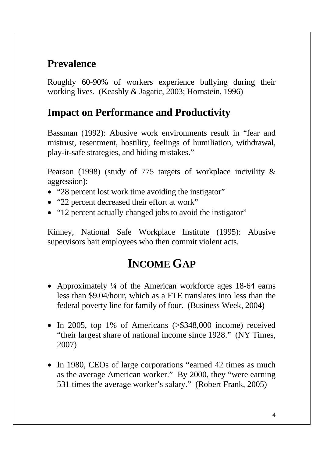### **Prevalence**

Roughly 60-90% of workers experience bullying during their working lives. (Keashly & Jagatic, 2003; Hornstein, 1996)

#### **Impact on Performance and Productivity**

Bassman (1992): Abusive work environments result in "fear and mistrust, resentment, hostility, feelings of humiliation, withdrawal, play-it-safe strategies, and hiding mistakes."

Pearson (1998) (study of 775 targets of workplace incivility & aggression):

- "28 percent lost work time avoiding the instigator"
- "22 percent decreased their effort at work"
- "12 percent actually changed jobs to avoid the instigator"

Kinney, National Safe Workplace Institute (1995): Abusive supervisors bait employees who then commit violent acts.

### **INCOME GAP**

- Approximately ¼ of the American workforce ages 18-64 earns less than \$9.04/hour, which as a FTE translates into less than the federal poverty line for family of four. (Business Week, 2004)
- In 2005, top 1% of Americans (>\$348,000 income) received "their largest share of national income since 1928." (NY Times, 2007)
- In 1980, CEOs of large corporations "earned 42 times as much as the average American worker." By 2000, they "were earning 531 times the average worker's salary." (Robert Frank, 2005)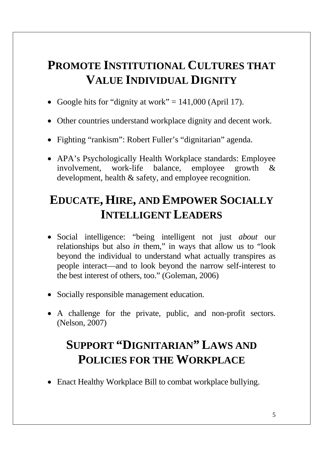### **PROMOTE INSTITUTIONAL CULTURES THAT VALUE INDIVIDUAL DIGNITY**

- Google hits for "dignity at work"  $= 141,000$  (April 17).
- Other countries understand workplace dignity and decent work.
- Fighting "rankism": Robert Fuller's "dignitarian" agenda.
- APA's Psychologically Health Workplace standards: Employee involvement, work-life balance, employee growth & development, health & safety, and employee recognition.

### **EDUCATE, HIRE, AND EMPOWER SOCIALLY INTELLIGENT LEADERS**

- Social intelligence: "being intelligent not just *about* our relationships but also *in* them," in ways that allow us to "look beyond the individual to understand what actually transpires as people interact—and to look beyond the narrow self-interest to the best interest of others, too." (Goleman, 2006)
- Socially responsible management education.
- A challenge for the private, public, and non-profit sectors. (Nelson, 2007)

## **SUPPORT "DIGNITARIAN" LAWS AND POLICIES FOR THE WORKPLACE**

• Enact Healthy Workplace Bill to combat workplace bullying.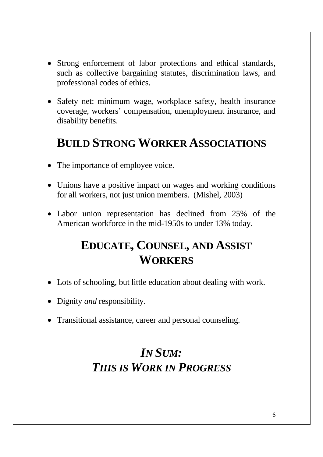- Strong enforcement of labor protections and ethical standards, such as collective bargaining statutes, discrimination laws, and professional codes of ethics.
- Safety net: minimum wage, workplace safety, health insurance coverage, workers' compensation, unemployment insurance, and disability benefits.

### **BUILD STRONG WORKER ASSOCIATIONS**

- The importance of employee voice.
- Unions have a positive impact on wages and working conditions for all workers, not just union members. (Mishel, 2003)
- Labor union representation has declined from 25% of the American workforce in the mid-1950s to under 13% today.

### **EDUCATE, COUNSEL, AND ASSIST WORKERS**

- Lots of schooling, but little education about dealing with work.
- Dignity *and* responsibility.
- Transitional assistance, career and personal counseling.

### *IN SUM: THIS IS WORK IN PROGRESS*